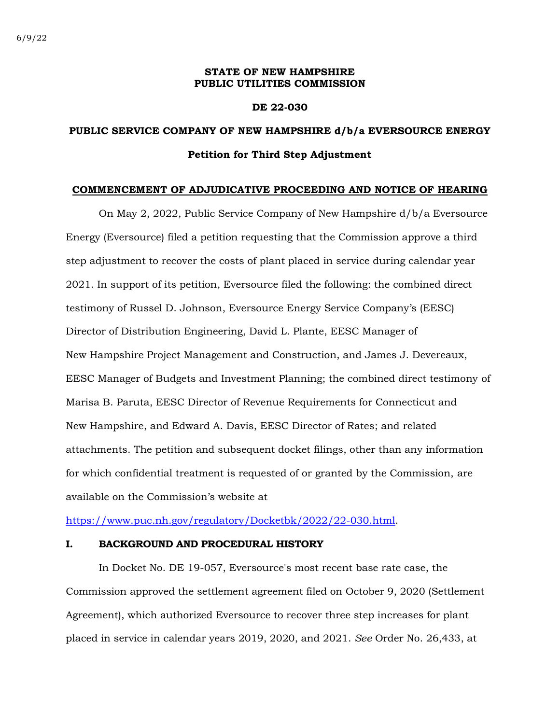#### **STATE OF NEW HAMPSHIRE PUBLIC UTILITIES COMMISSION**

#### **DE 22-030**

## **PUBLIC SERVICE COMPANY OF NEW HAMPSHIRE d/b/a EVERSOURCE ENERGY Petition for Third Step Adjustment**

#### **COMMENCEMENT OF ADJUDICATIVE PROCEEDING AND NOTICE OF HEARING**

On May 2, 2022, Public Service Company of New Hampshire d/b/a Eversource Energy (Eversource) filed a petition requesting that the Commission approve a third step adjustment to recover the costs of plant placed in service during calendar year 2021. In support of its petition, Eversource filed the following: the combined direct testimony of Russel D. Johnson, Eversource Energy Service Company's (EESC) Director of Distribution Engineering, David L. Plante, EESC Manager of New Hampshire Project Management and Construction, and James J. Devereaux, EESC Manager of Budgets and Investment Planning; the combined direct testimony of Marisa B. Paruta, EESC Director of Revenue Requirements for Connecticut and New Hampshire, and Edward A. Davis, EESC Director of Rates; and related attachments. The petition and subsequent docket filings, other than any information for which confidential treatment is requested of or granted by the Commission, are available on the Commission's website at

[https://www.puc.nh.gov/regulatory/Docketbk/2022/22-030.html.](https://www.puc.nh.gov/regulatory/Docketbk/2022/22-030.html)

### **I. BACKGROUND AND PROCEDURAL HISTORY**

In Docket No. DE 19-057, Eversource's most recent base rate case, the Commission approved the settlement agreement filed on October 9, 2020 (Settlement Agreement), which authorized Eversource to recover three step increases for plant placed in service in calendar years 2019, 2020, and 2021. *See* Order No. 26,433, at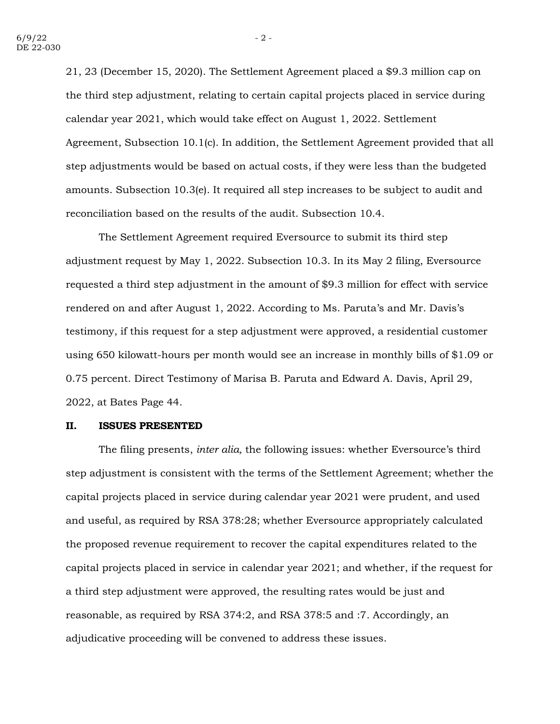21, 23 (December 15, 2020). The Settlement Agreement placed a \$9.3 million cap on the third step adjustment, relating to certain capital projects placed in service during calendar year 2021, which would take effect on August 1, 2022. Settlement Agreement, Subsection 10.1(c). In addition, the Settlement Agreement provided that all step adjustments would be based on actual costs, if they were less than the budgeted amounts. Subsection 10.3(e). It required all step increases to be subject to audit and reconciliation based on the results of the audit. Subsection 10.4.

The Settlement Agreement required Eversource to submit its third step adjustment request by May 1, 2022. Subsection 10.3. In its May 2 filing, Eversource requested a third step adjustment in the amount of \$9.3 million for effect with service rendered on and after August 1, 2022. According to Ms. Paruta's and Mr. Davis's testimony, if this request for a step adjustment were approved, a residential customer using 650 kilowatt-hours per month would see an increase in monthly bills of \$1.09 or 0.75 percent. Direct Testimony of Marisa B. Paruta and Edward A. Davis, April 29, 2022, at Bates Page 44.

#### **II. ISSUES PRESENTED**

The filing presents, *inter alia,* the following issues: whether Eversource's third step adjustment is consistent with the terms of the Settlement Agreement; whether the capital projects placed in service during calendar year 2021 were prudent, and used and useful, as required by RSA 378:28; whether Eversource appropriately calculated the proposed revenue requirement to recover the capital expenditures related to the capital projects placed in service in calendar year 2021; and whether, if the request for a third step adjustment were approved, the resulting rates would be just and reasonable, as required by RSA 374:2, and RSA 378:5 and :7. Accordingly, an adjudicative proceeding will be convened to address these issues.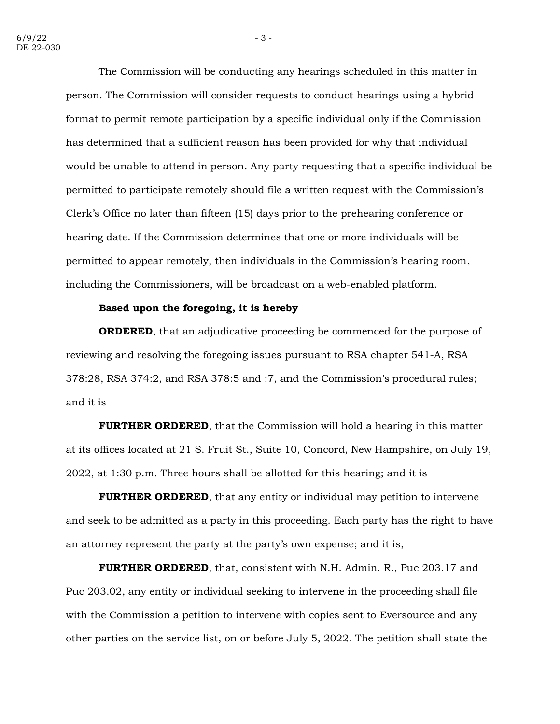The Commission will be conducting any hearings scheduled in this matter in person. The Commission will consider requests to conduct hearings using a hybrid format to permit remote participation by a specific individual only if the Commission has determined that a sufficient reason has been provided for why that individual would be unable to attend in person. Any party requesting that a specific individual be permitted to participate remotely should file a written request with the Commission's Clerk's Office no later than fifteen (15) days prior to the prehearing conference or hearing date. If the Commission determines that one or more individuals will be permitted to appear remotely, then individuals in the Commission's hearing room, including the Commissioners, will be broadcast on a web-enabled platform.

#### **Based upon the foregoing, it is hereby**

**ORDERED**, that an adjudicative proceeding be commenced for the purpose of reviewing and resolving the foregoing issues pursuant to RSA chapter 541-A, RSA 378:28, RSA 374:2, and RSA 378:5 and :7, and the Commission's procedural rules; and it is

**FURTHER ORDERED**, that the Commission will hold a hearing in this matter at its offices located at 21 S. Fruit St., Suite 10, Concord, New Hampshire, on July 19, 2022, at 1:30 p.m. Three hours shall be allotted for this hearing; and it is

**FURTHER ORDERED**, that any entity or individual may petition to intervene and seek to be admitted as a party in this proceeding. Each party has the right to have an attorney represent the party at the party's own expense; and it is,

**FURTHER ORDERED**, that, consistent with N.H. Admin. R., Puc 203.17 and Puc 203.02, any entity or individual seeking to intervene in the proceeding shall file with the Commission a petition to intervene with copies sent to Eversource and any other parties on the service list, on or before July 5, 2022. The petition shall state the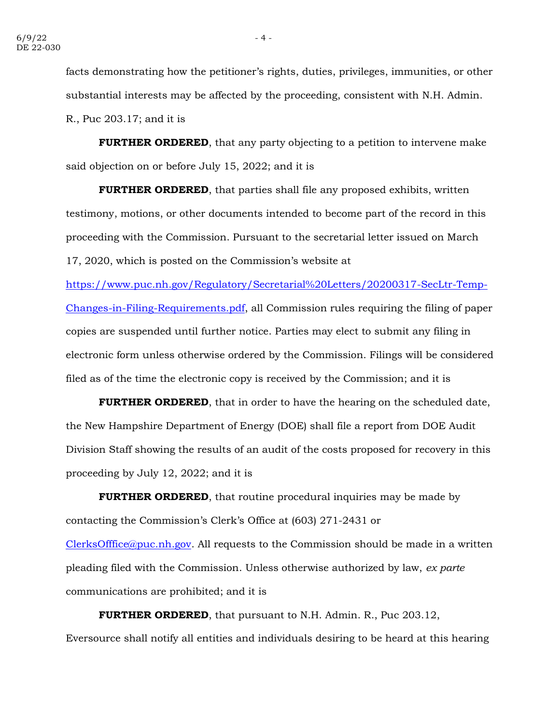facts demonstrating how the petitioner's rights, duties, privileges, immunities, or other substantial interests may be affected by the proceeding, consistent with N.H. Admin. R., Puc 203.17; and it is

**FURTHER ORDERED**, that any party objecting to a petition to intervene make said objection on or before July 15, 2022; and it is

**FURTHER ORDERED**, that parties shall file any proposed exhibits, written testimony, motions, or other documents intended to become part of the record in this proceeding with the Commission. Pursuant to the secretarial letter issued on March 17, 2020, which is posted on the Commission's website at

[https://www.puc.nh.gov/Regulatory/Secretarial%20Letters/20200317-SecLtr-Temp-](https://www.puc.nh.gov/Regulatory/Secretarial%20Letters/20200317-SecLtr-Temp-Changes-in-Filing-Requirements.pdf)[Changes-in-Filing-Requirements.pdf,](https://www.puc.nh.gov/Regulatory/Secretarial%20Letters/20200317-SecLtr-Temp-Changes-in-Filing-Requirements.pdf) all Commission rules requiring the filing of paper copies are suspended until further notice. Parties may elect to submit any filing in electronic form unless otherwise ordered by the Commission. Filings will be considered filed as of the time the electronic copy is received by the Commission; and it is

**FURTHER ORDERED**, that in order to have the hearing on the scheduled date, the New Hampshire Department of Energy (DOE) shall file a report from DOE Audit Division Staff showing the results of an audit of the costs proposed for recovery in this proceeding by July 12, 2022; and it is

**FURTHER ORDERED**, that routine procedural inquiries may be made by contacting the Commission's Clerk's Office at (603) 271-2431 or [ClerksOfffice@puc.nh.gov.](mailto:ClerksOfffice@puc.nh.gov) All requests to the Commission should be made in a written pleading filed with the Commission. Unless otherwise authorized by law, *ex parte*

communications are prohibited; and it is

**FURTHER ORDERED**, that pursuant to N.H. Admin. R., Puc 203.12, Eversource shall notify all entities and individuals desiring to be heard at this hearing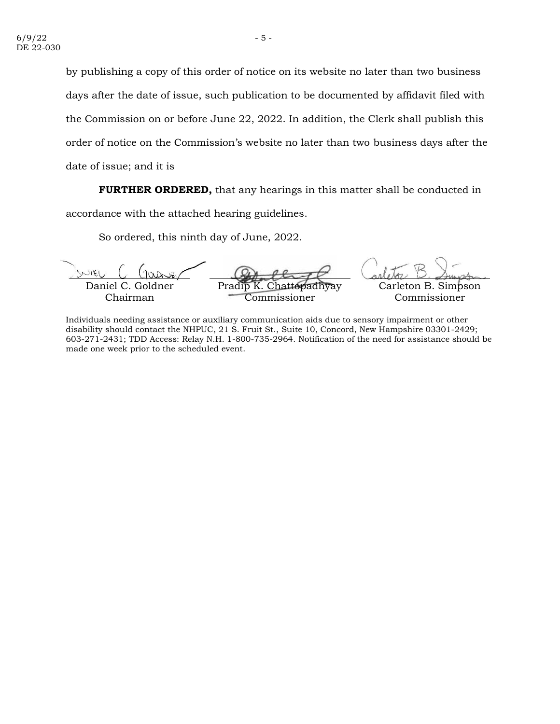by publishing a copy of this order of notice on its website no later than two business days after the date of issue, such publication to be documented by affidavit filed with the Commission on or before June 22, 2022. In addition, the Clerk shall publish this order of notice on the Commission's website no later than two business days after the date of issue; and it is

**FURTHER ORDERED,** that any hearings in this matter shall be conducted in accordance with the attached hearing guidelines.

So ordered, this ninth day of June, 2022.

Daniel C. Goldner Chairman Pradi ʻommissioner Carleton B. Simpson Commissioner

Individuals needing assistance or auxiliary communication aids due to sensory impairment or other disability should contact the NHPUC, 21 S. Fruit St., Suite 10, Concord, New Hampshire 03301-2429; 603-271-2431; TDD Access: Relay N.H. 1-800-735-2964. Notification of the need for assistance should be made one week prior to the scheduled event.